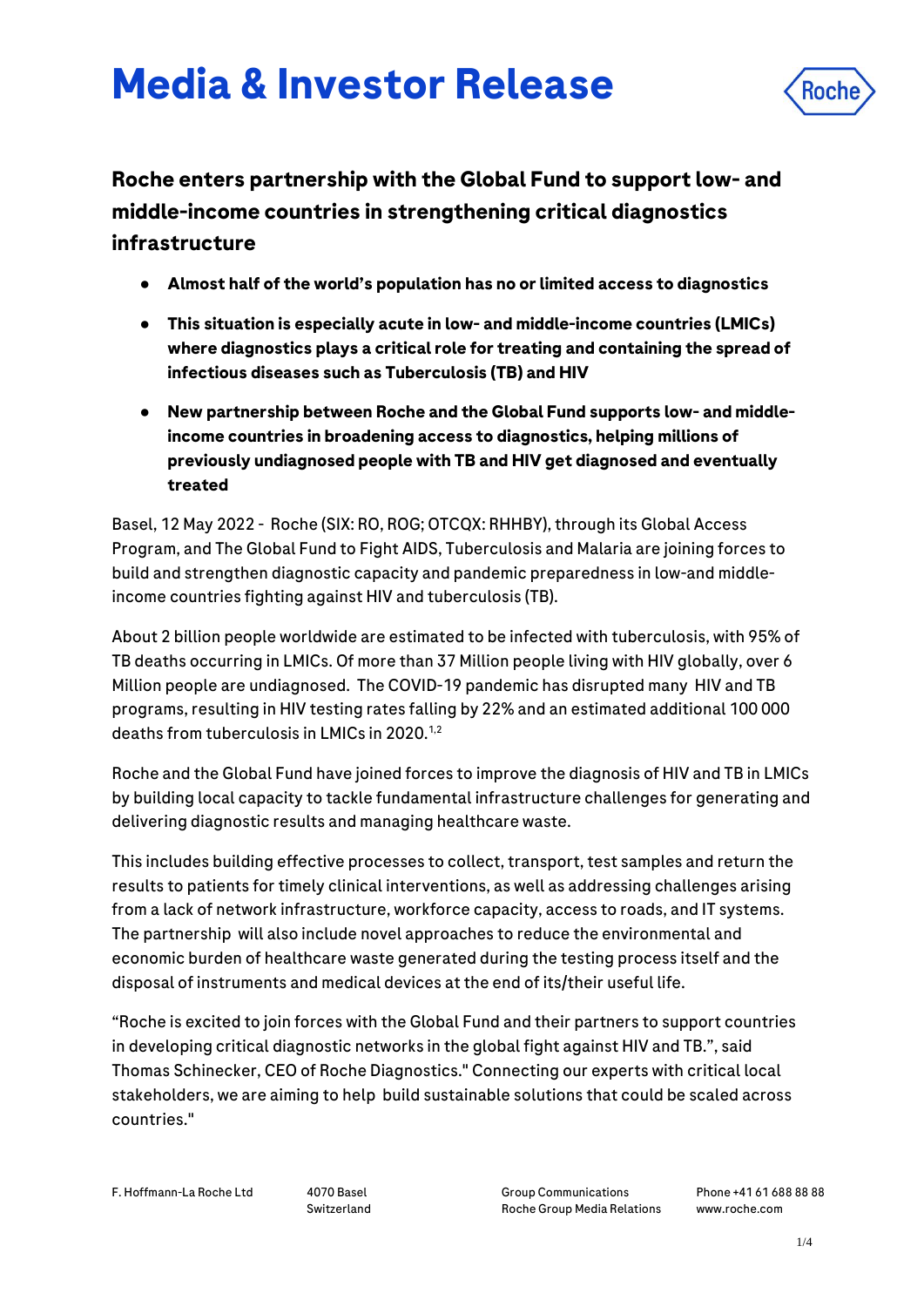# **Media & Investor Release**



## **Roche enters partnership with the Global Fund to support low- and middle-income countries in strengthening critical diagnostics infrastructure**

- **Almost half of the world's population has no or limited access to diagnostics**
- **This situation is especially acute in low- and middle-income countries (LMICs) where diagnostics plays a critical role for treating and containing the spread of infectious diseases such as Tuberculosis (TB) and HIV**
- **New partnership between Roche and the Global Fund supports low- and middleincome countries in broadening access to diagnostics, helping millions of previously undiagnosed people with TB and HIV get diagnosed and eventually treated**

Basel, 12 May 2022 - Roche (SIX: RO, ROG; OTCQX: RHHBY), through its Global Access Program, and The Global Fund to Fight AIDS, Tuberculosis and Malaria are joining forces to build and strengthen diagnostic capacity and pandemic preparedness in low-and middleincome countries fighting against HIV and tuberculosis (TB).

About 2 billion people worldwide are estimated to be infected with tuberculosis, with 95% of TB deaths occurring in LMICs. Of more than 37 Million people living with HIV globally, over 6 Million people are undiagnosed. The COVID-19 pandemic has disrupted many HIV and TB programs, resulting in HIV testing rates falling by 22% and an estimated additional 100 000 deaths from tuberculosis in LMICs in 2020.1,2

Roche and the Global Fund have joined forces to improve the diagnosis of HIV and TB in LMICs by building local capacity to tackle fundamental infrastructure challenges for generating and delivering diagnostic results and managing healthcare waste.

This includes building effective processes to collect, transport, test samples and return the results to patients for timely clinical interventions, as well as addressing challenges arising from a lack of network infrastructure, workforce capacity, access to roads, and IT systems. The partnership will also include novel approaches to reduce the environmental and economic burden of healthcare waste generated during the testing process itself and the disposal of instruments and medical devices at the end of its/their useful life.

"Roche is excited to join forces with the Global Fund and their partners to support countries in developing critical diagnostic networks in the global fight against HIV and TB.", said Thomas Schinecker, CEO of Roche Diagnostics." Connecting our experts with critical local stakeholders, we are aiming to help build sustainable solutions that could be scaled across countries."

F. Hoffmann-La Roche Ltd 4070 Basel

Switzerland

Group Communications Roche Group Media Relations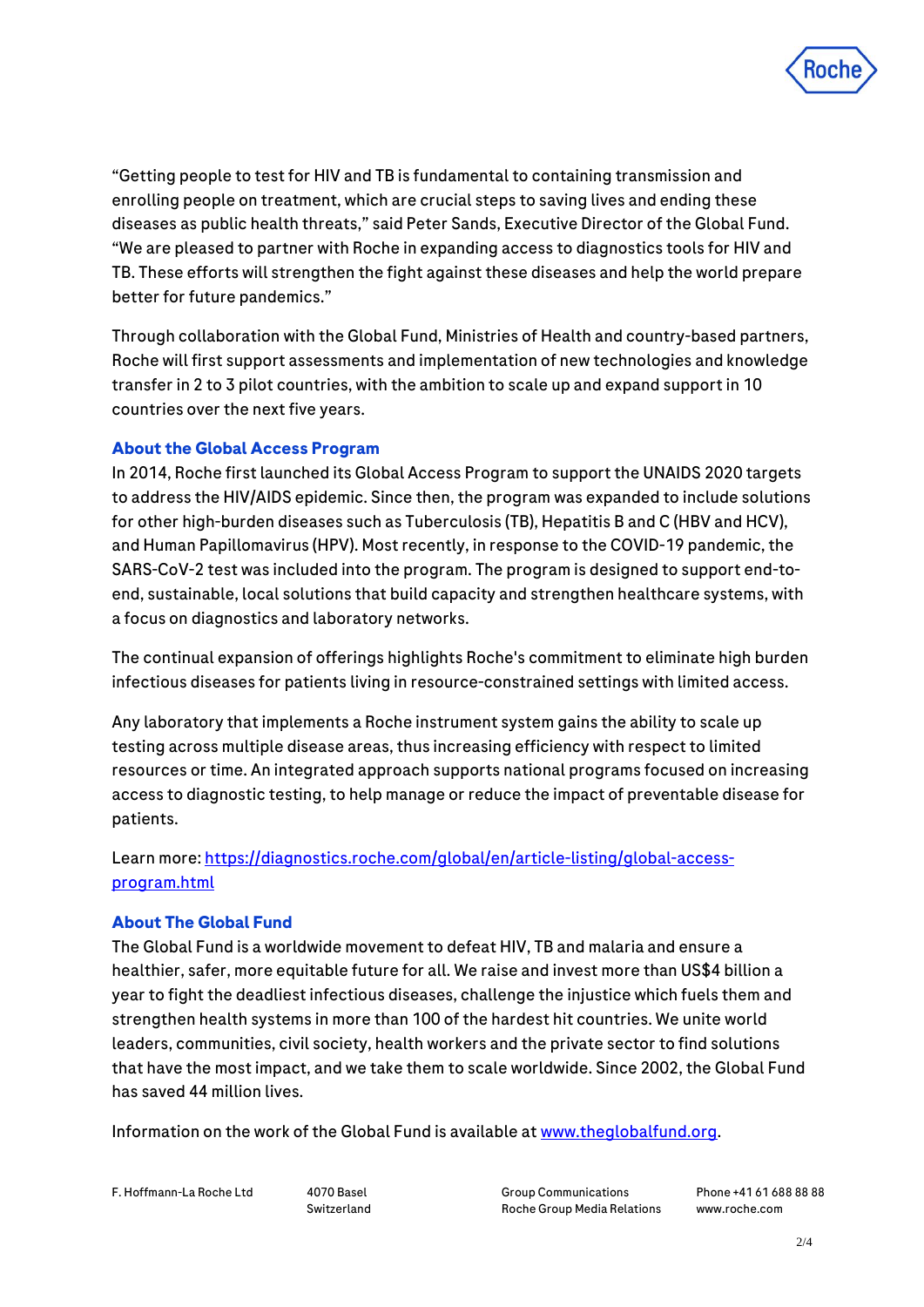

"Getting people to test for HIV and TB is fundamental to containing transmission and enrolling people on treatment, which are crucial steps to saving lives and ending these diseases as public health threats," said Peter Sands, Executive Director of the Global Fund. "We are pleased to partner with Roche in expanding access to diagnostics tools for HIV and TB. These efforts will strengthen the fight against these diseases and help the world prepare better for future pandemics."

Through collaboration with the Global Fund, Ministries of Health and country-based partners, Roche will first support assessments and implementation of new technologies and knowledge transfer in 2 to 3 pilot countries, with the ambition to scale up and expand support in 10 countries over the next five years.

### **About the Global Access Program**

In 2014, Roche first launched its Global Access Program to support the UNAIDS 2020 targets to address the HIV/AIDS epidemic. Since then, the program was expanded to include solutions for other high-burden diseases such as Tuberculosis (TB), Hepatitis B and C (HBV and HCV), and Human Papillomavirus (HPV). Most recently, in response to the COVID-19 pandemic, the SARS-CoV-2 test was included into the program. The program is designed to support end-toend, sustainable, local solutions that build capacity and strengthen healthcare systems, with a focus on diagnostics and laboratory networks.

The continual expansion of offerings highlights Roche's commitment to eliminate high burden infectious diseases for patients living in resource-constrained settings with limited access.

Any laboratory that implements a Roche instrument system gains the ability to scale up testing across multiple disease areas, thus increasing efficiency with respect to limited resources or time. An integrated approach supports national programs focused on increasing access to diagnostic testing, to help manage or reduce the impact of preventable disease for patients.

Learn more: [https://diagnostics.roche.com/global/en/article-listing/global-access](https://diagnostics.roche.com/global/en/article-listing/global-access-program.html)[program.html](https://diagnostics.roche.com/global/en/article-listing/global-access-program.html)

#### **About The Global Fund**

The Global Fund is a worldwide movement to defeat HIV, TB and malaria and ensure a healthier, safer, more equitable future for all. We raise and invest more than US\$4 billion a year to fight the deadliest infectious diseases, challenge the injustice which fuels them and strengthen health systems in more than 100 of the hardest hit countries. We unite world leaders, communities, civil society, health workers and the private sector to find solutions that have the most impact, and we take them to scale worldwide. Since 2002, the Global Fund has saved 44 million lives.

Information on the work of the Global Fund is available a[t www.theglobalfund.org.](http://www.theglobalfund.org/)

F. Hoffmann-La Roche Ltd 4070 Basel

Switzerland

Group Communications Roche Group Media Relations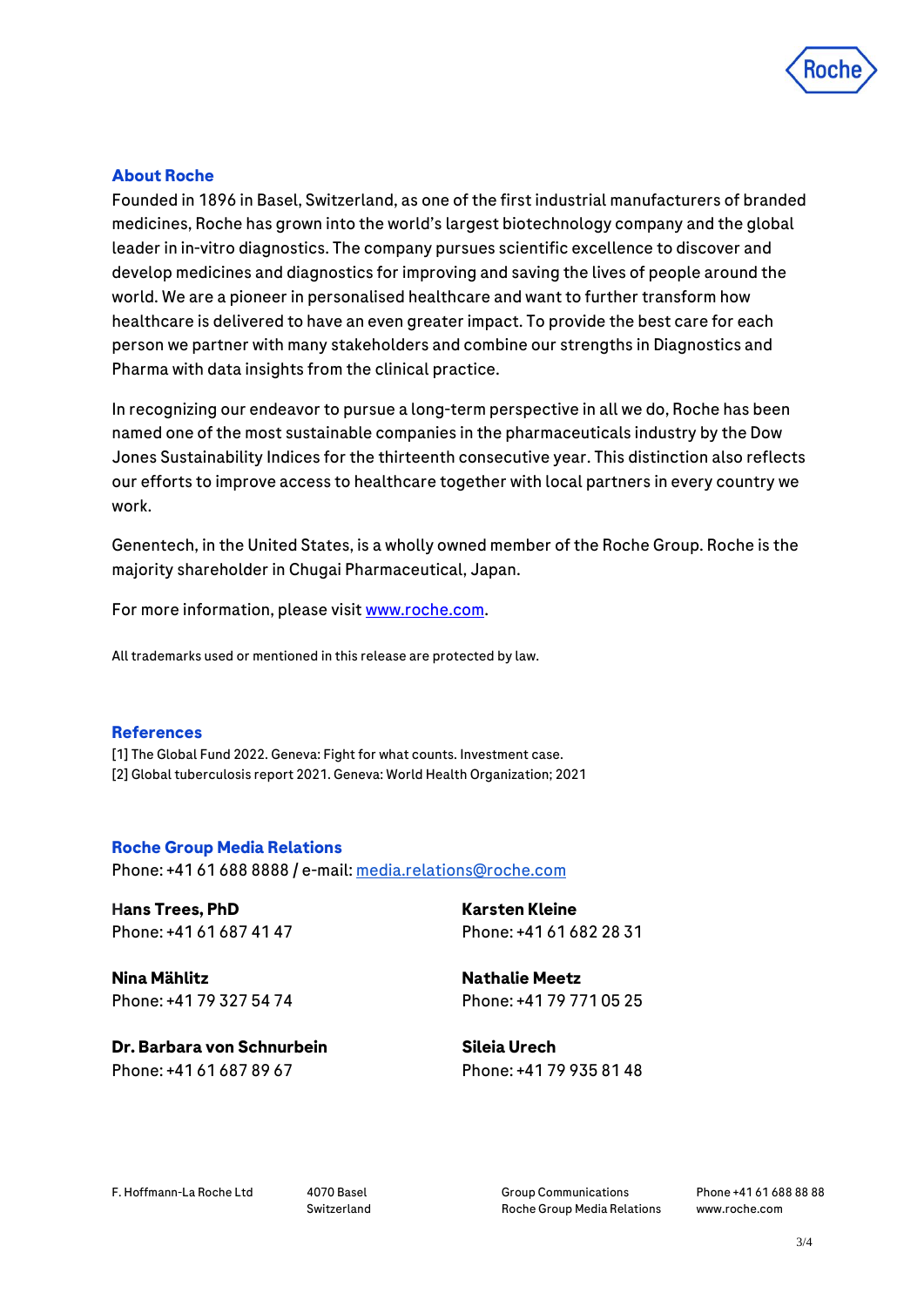

#### **About Roche**

Founded in 1896 in Basel, Switzerland, as one of the first industrial manufacturers of branded medicines, Roche has grown into the world's largest biotechnology company and the global leader in in-vitro diagnostics. The company pursues scientific excellence to discover and develop medicines and diagnostics for improving and saving the lives of people around the world. We are a pioneer in personalised healthcare and want to further transform how healthcare is delivered to have an even greater impact. To provide the best care for each person we partner with many stakeholders and combine our strengths in Diagnostics and Pharma with data insights from the clinical practice.

In recognizing our endeavor to pursue a long-term perspective in all we do, Roche has been named one of the most sustainable companies in the pharmaceuticals industry by the Dow Jones Sustainability Indices for the thirteenth consecutive year. This distinction also reflects our efforts to improve access to healthcare together with local partners in every country we work.

Genentech, in the United States, is a wholly owned member of the Roche Group. Roche is the majority shareholder in Chugai Pharmaceutical, Japan.

For more information, please visi[t www.roche.com.](http://www.roche.com/)

All trademarks used or mentioned in this release are protected by law.

#### **References**

[1] The Global Fund 2022. Geneva: Fight for what counts. Investment case. [2] Global tuberculosis report 2021. Geneva: World Health Organization; 2021

#### **Roche Group Media Relations**

Phone: +41 61 688 8888 / e-mail[: media.relations@roche.com](mailto:media.relations@roche.com)

**Hans Trees, PhD** Phone: +41 61 687 41 47 **Karsten Kleine** Phone: +41 61 682 28 31

**Nina Mählitz** Phone: +41 79 327 54 74 **Nathalie Meetz** Phone: +41 79 771 05 25

**Dr. Barbara von Schnurbein** Phone: +41 61 687 89 67

**Sileia Urech** Phone: +41 79 935 81 48

F. Hoffmann-La Roche Ltd 4070 Basel

Switzerland

Group Communications Roche Group Media Relations